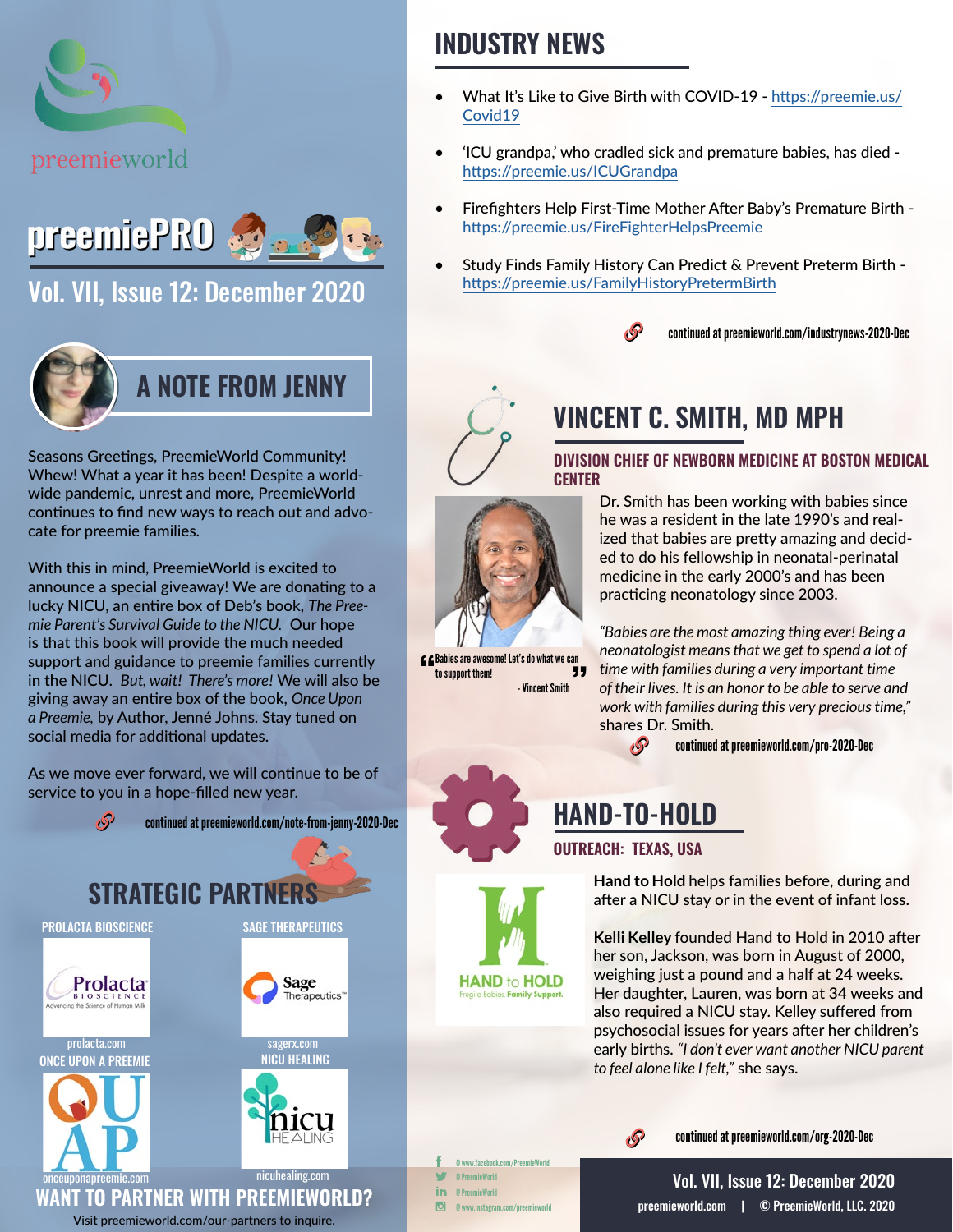



[Vol. VII, Issue 12: December 2020](https://preemieworld.com/preemie-pro-digital-issues/)



Seasons Greetings, PreemieWorld Community! Whew! What a year it has been! Despite a worldwide pandemic, unrest and more, PreemieWorld continues to find new ways to reach out and advocate for preemie families.

With this in mind, PreemieWorld is excited to announce a special giveaway! We are donating to a lucky NICU, an entire box of Deb's book, *The Preemie Parent's Survival Guide to the NICU.* Our hope is that this book will provide the much needed support and guidance to preemie families currently in the NICU. *But, wait! There's more!* We will also be giving away an entire box of the book, *Once Upon a Preemie,* by Author, Jenné Johns. Stay tuned on social media for additional updates.

As we move ever forward, we will continue to be of service to you in a hope-filled new year.



## **INDUSTRY NEWS**

- What It's Like to Give Birth with COVID-19 [https://preemie.us/](https://preemie.us/Covid19 ) [Covid19](https://preemie.us/Covid19 )
- 'ICU grandpa,' who cradled sick and premature babies, has died https://preemie.us/ICUGrandpa
- Firefighters Help First-Time Mother After Baby's Premature Birth https://preemie.us/FireFighterHelpsPreemie
- Study Finds Family History Can Predict & Prevent Preterm Birth https://preemie.us/FamilyHistoryPretermBirth





## **VINCENT C. SMITH, MD MPH**

**DIVISION CHIEF OF NEWBORN MEDICINE AT BOSTON MEDICAL CENTER**



- Vincent Smith

Dr. Smith has been working with babies since he was a resident in the late 1990's and realized that babies are pretty amazing and decided to do his fellowship in neonatal-perinatal medicine in the early 2000's and has been practicing neonatology since 2003.

*"Babies are the most amazing thing ever! Being a neonatologist means that we get to spend a lot of time with families during a very important time of their lives. It is an honor to be able to serve and work with families during this very precious time,"*  shares Dr. Smith.

continued at [preemieworld.com/pro-2020-](https://preemieworld.com/pro-2020-Dec)Dec



to support them!



**Hand to Hold** helps families before, during and after a NICU stay or in the event of infant loss.

**Kelli Kelley** founded Hand to Hold in 2010 after her son, Jackson, was born in August of 2000, weighing just a pound and a half at 24 weeks. Her daughter, Lauren, was born at 34 weeks and also required a NICU stay. Kelley suffered from psychosocial issues for years after her children's early births. *"I don't ever want another NICU parent to feel alone like I felt,"* she says.



**HAND-TO-HOLD**

<sub>t</sub>P

**OUTREACH: TEXAS, USA**

continued at [preemieworld.com/org-2020-](https://preemieworld.com/org-2020-Dec)Dec

@ www.facebook.com/PreemieWorld @ PreemieWorld @ PreemieWorld @ www.instagram.com/preemieworld